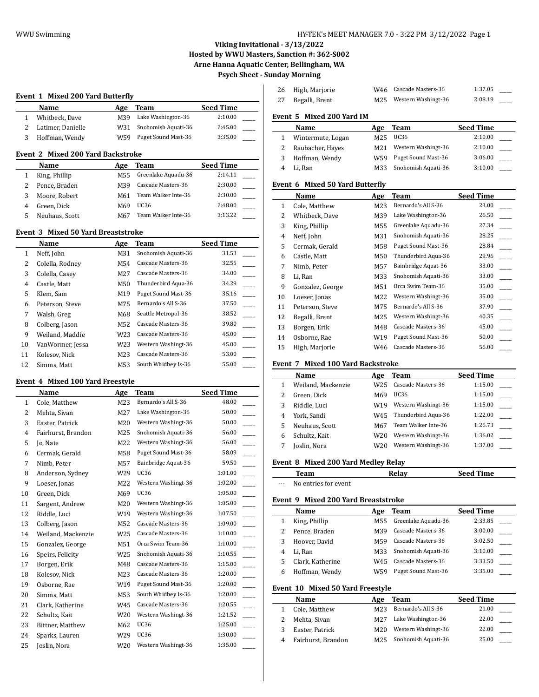$\overline{a}$ 

26 High, Marjorie W46 Cascade Masters-36 1:37.05

# **Viking Invitational - 3/13/2022 Hosted by WWU Masters, Sanction #: 362-S002 Arne Hanna Aquatic Center, Bellingham, WA Psych Sheet - Sunday Morning**

# **Event 1 Mixed 200 Yard Butterfly**

|   | Name              | Age | Team                   | <b>Seed Time</b> |  |
|---|-------------------|-----|------------------------|------------------|--|
|   | Whitbeck, Dave    |     | M39 Lake Washington-36 | 2:10.00          |  |
|   | Latimer, Danielle | W31 | Snohomish Aquati-36    | 2:45.00          |  |
| 3 | Hoffman, Wendy    | W59 | Puget Sound Mast-36    | 3:35.00          |  |

# **Event 2 Mixed 200 Yard Backstroke**

| Name           | Age | Team                | Seed Time |
|----------------|-----|---------------------|-----------|
| King, Phillip  | M55 | Greenlake Aquadu-36 | 2:14.11   |
| Pence, Braden  | M39 | Cascade Masters-36  | 2:30.00   |
| Moore, Robert  | M61 | Team Walker Inte-36 | 2:30.00   |
| Green, Dick    | M69 | UC36                | 2:48.00   |
| Neuhaus, Scott | M67 | Team Walker Inte-36 | 3:13.22   |

#### **Event 3 Mixed 50 Yard Breaststroke**

|              | Name             | Age             | Team                | <b>Seed Time</b> |
|--------------|------------------|-----------------|---------------------|------------------|
| $\mathbf{1}$ | Neff, John       | M31             | Snohomish Aquati-36 | 31.53            |
| 2            | Colella, Rodney  | M <sub>54</sub> | Cascade Masters-36  | 32.55            |
| 3            | Colella, Casey   | M27             | Cascade Masters-36  | 34.00            |
| 4            | Castle, Matt     | M50             | Thunderbird Aqua-36 | 34.29            |
| 5            | Klem, Sam        | M19             | Puget Sound Mast-36 | 35.16            |
| 6            | Peterson, Steve  | M75             | Bernardo's All S-36 | 37.50            |
| 7            | Walsh, Greg      | M68             | Seattle Metropol-36 | 38.52            |
| 8            | Colberg, Jason   | M52             | Cascade Masters-36  | 39.80            |
| 9            | Weiland, Maddie  | W23             | Cascade Masters-36  | 45.00            |
| 10           | VanWormer, Jessa | W23             | Western Washingt-36 | 45.00            |
| 11           | Kolesov, Nick    | M23             | Cascade Masters-36  | 53.00            |
| 12           | Simms, Matt      | M53             | South Whidbey Is-36 | 55.00            |

## **Event 4 Mixed 100 Yard Freestyle**

|    | Name               | Age | Team                | <b>Seed Time</b> |
|----|--------------------|-----|---------------------|------------------|
| 1  | Cole, Matthew      | M23 | Bernardo's All S-36 | 48.00            |
| 2  | Mehta, Sivan       | M27 | Lake Washington-36  | 50.00            |
| 3  | Easter, Patrick    | M20 | Western Washingt-36 | 50.00            |
| 4  | Fairhurst, Brandon | M25 | Snohomish Aquati-36 | 56.00            |
| 5  | Jo, Nate           | M22 | Western Washingt-36 | 56.00            |
| 6  | Cermak, Gerald     | M58 | Puget Sound Mast-36 | 58.09            |
| 7  | Nimb, Peter        | M57 | Bainbridge Aquat-36 | 59.50            |
| 8  | Anderson, Sydney   | W29 | <b>UC36</b>         | 1:01.00          |
| 9  | Loeser, Jonas      | M22 | Western Washingt-36 | 1:02.00          |
| 10 | Green, Dick        | M69 | <b>UC36</b>         | 1:05.00          |
| 11 | Sargent, Andrew    | M20 | Western Washingt-36 | 1:05.00          |
| 12 | Riddle, Luci       | W19 | Western Washingt-36 | 1:07.50          |
| 13 | Colberg, Jason     | M52 | Cascade Masters-36  | 1:09.00          |
| 14 | Weiland, Mackenzie | W25 | Cascade Masters-36  | 1:10.00          |
| 15 | Gonzalez, George   | M51 | Orca Swim Team-36   | 1:10.00          |
| 16 | Speirs, Felicity   | W25 | Snohomish Aquati-36 | 1:10.55          |
| 17 | Borgen, Erik       | M48 | Cascade Masters-36  | 1:15.00          |
| 18 | Kolesov, Nick      | M23 | Cascade Masters-36  | 1:20.00          |
| 19 | Osborne, Rae       | W19 | Puget Sound Mast-36 | 1:20.00          |
| 20 | Simms, Matt        | M53 | South Whidbey Is-36 | 1:20.00          |
| 21 | Clark, Katherine   | W45 | Cascade Masters-36  | 1:20.55          |
| 22 | Schultz, Kait      | W20 | Western Washingt-36 | 1:21.52          |
| 23 | Bittner, Matthew   | M62 | <b>UC36</b>         | 1:25.00          |
| 24 | Sparks, Lauren     | W29 | <b>UC36</b>         | 1:30.00          |
| 25 | Joslin, Nora       | W20 | Western Washingt-36 | 1:35.00          |

| 27           | Begalli, Brent                  | M25 | Western Washingt-36 | 2:08.19          |
|--------------|---------------------------------|-----|---------------------|------------------|
|              | Event 5 Mixed 200 Yard IM       |     |                     |                  |
|              | Name                            | Age | Team                | <b>Seed Time</b> |
| $\mathbf{1}$ | Wintermute, Logan               | M25 | <b>UC36</b>         | 2:10.00          |
| 2            | Raubacher, Hayes                | M21 | Western Washingt-36 | 2:10.00          |
| 3            | Hoffman, Wendy                  | W59 | Puget Sound Mast-36 | 3:06.00          |
| 4            | Li, Ran                         | M33 | Snohomish Aquati-36 | 3:10.00          |
|              | Event 6 Mixed 50 Yard Butterfly |     |                     |                  |
|              | Name                            | Age | Team                | <b>Seed Time</b> |
| $\mathbf{1}$ | Cole, Matthew                   | M23 | Bernardo's All S-36 | 23.00            |
| 2            | Whitbeck, Dave                  | M39 | Lake Washington-36  | 26.50            |
| 3            | King, Phillip                   | M55 | Greenlake Aquadu-36 | 27.34            |
| 4            | Neff, John                      | M31 | Snohomish Aquati-36 | 28.25            |
| 5            | Cermak, Gerald                  | M58 | Puget Sound Mast-36 | 28.84            |
| 6            | Castle, Matt                    | M50 | Thunderbird Aqua-36 | 29.96            |
| 7            | Nimb, Peter                     | M57 | Bainbridge Aquat-36 | 33.00            |
| 8            | Li, Ran                         | M33 | Snohomish Aquati-36 | 33.00            |
| 9            | Gonzalez, George                | M51 | Orca Swim Team-36   | 35.00            |
| 10           | Loeser, Jonas                   | M22 | Western Washingt-36 | 35.00            |
| 11           | Peterson, Steve                 | M75 | Bernardo's All S-36 | 37.90            |
| 12           | Begalli, Brent                  | M25 | Western Washingt-36 | 40.35            |
| 13           | Borgen, Erik                    | M48 | Cascade Masters-36  | 45.00            |
| 14           | Osborne, Rae                    | W19 | Puget Sound Mast-36 | 50.00            |
| 15           | High, Marjorie                  | W46 | Cascade Masters-36  | 56.00            |

#### **Event 7 Mixed 100 Yard Backstroke**

|   | Name               | Age | Team                | <b>Seed Time</b> |  |
|---|--------------------|-----|---------------------|------------------|--|
|   | Weiland, Mackenzie | W25 | Cascade Masters-36  | 1:15.00          |  |
|   | Green, Dick        | M69 | UC36                | 1:15.00          |  |
| 3 | Riddle, Luci       | W19 | Western Washingt-36 | 1:15.00          |  |
| 4 | York, Sandi        | W45 | Thunderbird Aqua-36 | 1:22.00          |  |
| 5 | Neuhaus, Scott     | M67 | Team Walker Inte-36 | 1:26.73          |  |
| 6 | Schultz, Kait      | W20 | Western Washingt-36 | 1:36.02          |  |
|   | Joslin, Nora       | W20 | Western Washingt-36 | 1:37.00          |  |

#### **Event 8 Mixed 200 Yard Medley Relay**

|                      | Team                 | Relay | <b>Seed Time</b> |
|----------------------|----------------------|-------|------------------|
| $\sim$ $\sim$ $\sim$ | No entries for event |       |                  |

| Event 9 Mixed 200 Yard Breaststroke |                  |                 |                     |                  |
|-------------------------------------|------------------|-----------------|---------------------|------------------|
|                                     | Name             | Age             | Team                | <b>Seed Time</b> |
| 1                                   | King, Phillip    | M55             | Greenlake Aquadu-36 | 2:33.85          |
| 2                                   | Pence, Braden    | M39             | Cascade Masters-36  | 3:00.00          |
| 3                                   | Hoover, David    | M59             | Cascade Masters-36  | 3:02.50          |
| 4                                   | Li. Ran          | M33             | Snohomish Aquati-36 | 3:10.00          |
| 5                                   | Clark. Katherine | W45             | Cascade Masters-36  | 3:33.50          |
| 6                                   | Hoffman, Wendy   | W <sub>59</sub> | Puget Sound Mast-36 | 3:35.00          |
| Event 10 Mixed 50 Yard Freestyle    |                  |                 |                     |                  |
|                                     | Name             | Age             | Team                | <b>Seed Time</b> |
| 1                                   | Cole. Matthew    | M23             | Bernardo's All S-36 | 21.00            |

| Cole, Matthew      | M23             | Bernardo's All S-36 | 21.00 |  |
|--------------------|-----------------|---------------------|-------|--|
| Mehta, Sivan       | M27             | Lake Washington-36  | 22.00 |  |
| Easter, Patrick    | M20             | Western Washingt-36 | 22.00 |  |
| Fairhurst, Brandon | M <sub>25</sub> | Snohomish Aquati-36 | 25.00 |  |